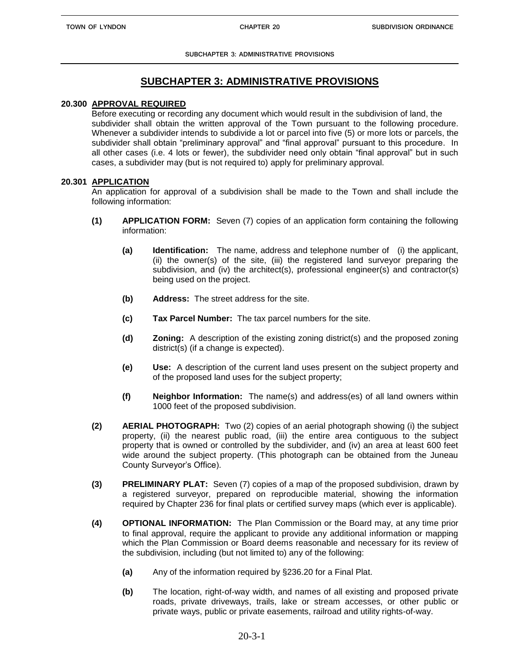**SUBCHAPTER 3: ADMINISTRATIVE PROVISIONS**

# **SUBCHAPTER 3: ADMINISTRATIVE PROVISIONS**

#### **20.300 APPROVAL REQUIRED**

Before executing or recording any document which would result in the subdivision of land, the subdivider shall obtain the written approval of the Town pursuant to the following procedure. Whenever a subdivider intends to subdivide a lot or parcel into five (5) or more lots or parcels, the subdivider shall obtain "preliminary approval" and "final approval" pursuant to this procedure. In all other cases (i.e. 4 lots or fewer), the subdivider need only obtain "final approval" but in such cases, a subdivider may (but is not required to) apply for preliminary approval.

#### **20.301 APPLICATION**

An application for approval of a subdivision shall be made to the Town and shall include the following information:

- **(1) APPLICATION FORM:** Seven (7) copies of an application form containing the following information:
	- **(a) Identification:** The name, address and telephone number of (i) the applicant, (ii) the owner(s) of the site, (iii) the registered land surveyor preparing the subdivision, and (iv) the architect(s), professional engineer(s) and contractor(s) being used on the project.
	- **(b) Address:** The street address for the site.
	- **(c) Tax Parcel Number:** The tax parcel numbers for the site.
	- **(d) Zoning:** A description of the existing zoning district(s) and the proposed zoning district(s) (if a change is expected).
	- **(e) Use:** A description of the current land uses present on the subject property and of the proposed land uses for the subject property;
	- **(f) Neighbor Information:** The name(s) and address(es) of all land owners within 1000 feet of the proposed subdivision.
- **(2) AERIAL PHOTOGRAPH:** Two (2) copies of an aerial photograph showing (i) the subject property, (ii) the nearest public road, (iii) the entire area contiguous to the subject property that is owned or controlled by the subdivider, and (iv) an area at least 600 feet wide around the subject property. (This photograph can be obtained from the Juneau County Surveyor's Office).
- **(3) PRELIMINARY PLAT:** Seven (7) copies of a map of the proposed subdivision, drawn by a registered surveyor, prepared on reproducible material, showing the information required by Chapter 236 for final plats or certified survey maps (which ever is applicable).
- **(4) OPTIONAL INFORMATION:** The Plan Commission or the Board may, at any time prior to final approval, require the applicant to provide any additional information or mapping which the Plan Commission or Board deems reasonable and necessary for its review of the subdivision, including (but not limited to) any of the following:
	- **(a)** Any of the information required by §236.20 for a Final Plat.
	- **(b)** The location, right-of-way width, and names of all existing and proposed private roads, private driveways, trails, lake or stream accesses, or other public or private ways, public or private easements, railroad and utility rights-of-way.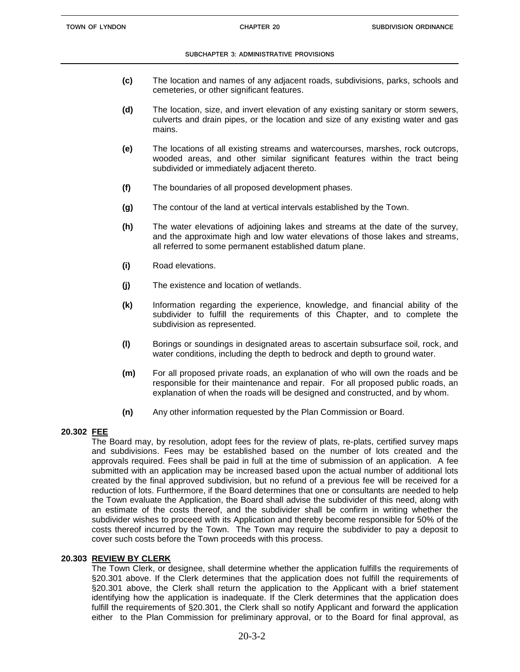#### **SUBCHAPTER 3: ADMINISTRATIVE PROVISIONS**

- **(c)** The location and names of any adjacent roads, subdivisions, parks, schools and cemeteries, or other significant features.
- **(d)** The location, size, and invert elevation of any existing sanitary or storm sewers, culverts and drain pipes, or the location and size of any existing water and gas mains.
- **(e)** The locations of all existing streams and watercourses, marshes, rock outcrops, wooded areas, and other similar significant features within the tract being subdivided or immediately adjacent thereto.
- **(f)** The boundaries of all proposed development phases.
- **(g)** The contour of the land at vertical intervals established by the Town.
- **(h)** The water elevations of adjoining lakes and streams at the date of the survey, and the approximate high and low water elevations of those lakes and streams, all referred to some permanent established datum plane.
- **(i)** Road elevations.
- **(j)** The existence and location of wetlands.
- **(k)** Information regarding the experience, knowledge, and financial ability of the subdivider to fulfill the requirements of this Chapter, and to complete the subdivision as represented.
- **(l)** Borings or soundings in designated areas to ascertain subsurface soil, rock, and water conditions, including the depth to bedrock and depth to ground water.
- **(m)** For all proposed private roads, an explanation of who will own the roads and be responsible for their maintenance and repair. For all proposed public roads, an explanation of when the roads will be designed and constructed, and by whom.
- **(n)** Any other information requested by the Plan Commission or Board.

# **20.302 FEE**

The Board may, by resolution, adopt fees for the review of plats, re-plats, certified survey maps and subdivisions. Fees may be established based on the number of lots created and the approvals required. Fees shall be paid in full at the time of submission of an application. A fee submitted with an application may be increased based upon the actual number of additional lots created by the final approved subdivision, but no refund of a previous fee will be received for a reduction of lots. Furthermore, if the Board determines that one or consultants are needed to help the Town evaluate the Application, the Board shall advise the subdivider of this need, along with an estimate of the costs thereof, and the subdivider shall be confirm in writing whether the subdivider wishes to proceed with its Application and thereby become responsible for 50% of the costs thereof incurred by the Town. The Town may require the subdivider to pay a deposit to cover such costs before the Town proceeds with this process.

# **20.303 REVIEW BY CLERK**

The Town Clerk, or designee, shall determine whether the application fulfills the requirements of §20.301 above. If the Clerk determines that the application does not fulfill the requirements of §20.301 above, the Clerk shall return the application to the Applicant with a brief statement identifying how the application is inadequate. If the Clerk determines that the application does fulfill the requirements of §20.301, the Clerk shall so notify Applicant and forward the application either to the Plan Commission for preliminary approval, or to the Board for final approval, as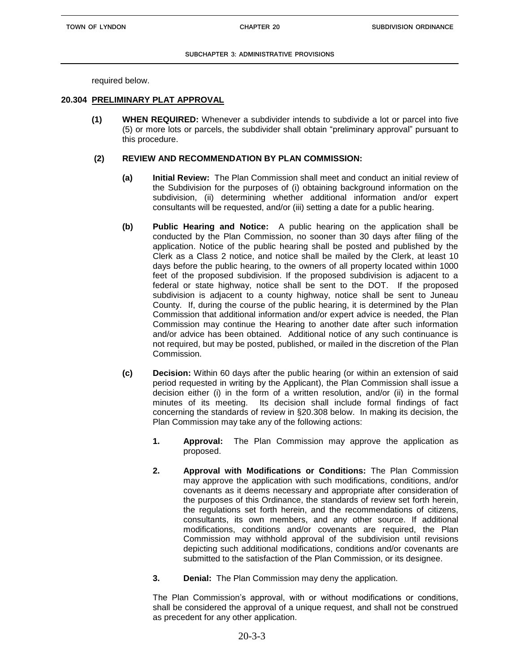required below.

#### **20.304 PRELIMINARY PLAT APPROVAL**

**(1) WHEN REQUIRED:** Whenever a subdivider intends to subdivide a lot or parcel into five (5) or more lots or parcels, the subdivider shall obtain "preliminary approval" pursuant to this procedure.

#### **(2) REVIEW AND RECOMMENDATION BY PLAN COMMISSION:**

- **(a) Initial Review:** The Plan Commission shall meet and conduct an initial review of the Subdivision for the purposes of (i) obtaining background information on the subdivision, (ii) determining whether additional information and/or expert consultants will be requested, and/or (iii) setting a date for a public hearing.
- **(b) Public Hearing and Notice:** A public hearing on the application shall be conducted by the Plan Commission, no sooner than 30 days after filing of the application. Notice of the public hearing shall be posted and published by the Clerk as a Class 2 notice, and notice shall be mailed by the Clerk, at least 10 days before the public hearing, to the owners of all property located within 1000 feet of the proposed subdivision. If the proposed subdivision is adjacent to a federal or state highway, notice shall be sent to the DOT. If the proposed subdivision is adjacent to a county highway, notice shall be sent to Juneau County. If, during the course of the public hearing, it is determined by the Plan Commission that additional information and/or expert advice is needed, the Plan Commission may continue the Hearing to another date after such information and/or advice has been obtained. Additional notice of any such continuance is not required, but may be posted, published, or mailed in the discretion of the Plan Commission.
- **(c) Decision:** Within 60 days after the public hearing (or within an extension of said period requested in writing by the Applicant), the Plan Commission shall issue a decision either (i) in the form of a written resolution, and/or (ii) in the formal minutes of its meeting. Its decision shall include formal findings of fact concerning the standards of review in §20.308 below. In making its decision, the Plan Commission may take any of the following actions:
	- **1. Approval:** The Plan Commission may approve the application as proposed.
	- **2. Approval with Modifications or Conditions:** The Plan Commission may approve the application with such modifications, conditions, and/or covenants as it deems necessary and appropriate after consideration of the purposes of this Ordinance, the standards of review set forth herein, the regulations set forth herein, and the recommendations of citizens, consultants, its own members, and any other source. If additional modifications, conditions and/or covenants are required, the Plan Commission may withhold approval of the subdivision until revisions depicting such additional modifications, conditions and/or covenants are submitted to the satisfaction of the Plan Commission, or its designee.
	- **3. Denial:** The Plan Commission may deny the application.

The Plan Commission's approval, with or without modifications or conditions, shall be considered the approval of a unique request, and shall not be construed as precedent for any other application.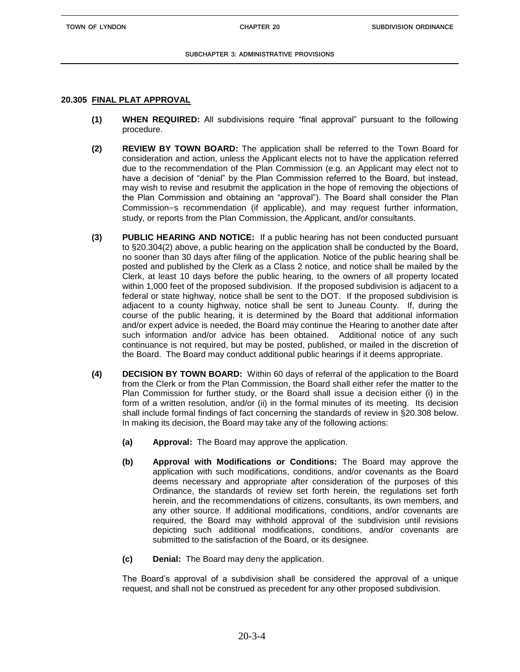**TOWN OF LYNDON CHAPTER 20**

## **20.305 FINAL PLAT APPROVAL**

- **(1) WHEN REQUIRED:** All subdivisions require "final approval" pursuant to the following procedure.
- **(2) REVIEW BY TOWN BOARD:** The application shall be referred to the Town Board for consideration and action, unless the Applicant elects not to have the application referred due to the recommendation of the Plan Commission (e.g. an Applicant may elect not to have a decision of "denial" by the Plan Commission referred to the Board, but instead, may wish to revise and resubmit the application in the hope of removing the objections of the Plan Commission and obtaining an "approval"). The Board shall consider the Plan Commission=s recommendation (if applicable), and may request further information, study, or reports from the Plan Commission, the Applicant, and/or consultants.
- **(3) PUBLIC HEARING AND NOTICE:** If a public hearing has not been conducted pursuant to §20.304(2) above, a public hearing on the application shall be conducted by the Board, no sooner than 30 days after filing of the application. Notice of the public hearing shall be posted and published by the Clerk as a Class 2 notice, and notice shall be mailed by the Clerk, at least 10 days before the public hearing, to the owners of all property located within 1,000 feet of the proposed subdivision. If the proposed subdivision is adjacent to a federal or state highway, notice shall be sent to the DOT. If the proposed subdivision is adjacent to a county highway, notice shall be sent to Juneau County. If, during the course of the public hearing, it is determined by the Board that additional information and/or expert advice is needed, the Board may continue the Hearing to another date after such information and/or advice has been obtained. Additional notice of any such continuance is not required, but may be posted, published, or mailed in the discretion of the Board. The Board may conduct additional public hearings if it deems appropriate.
- **(4) DECISION BY TOWN BOARD:** Within 60 days of referral of the application to the Board from the Clerk or from the Plan Commission, the Board shall either refer the matter to the Plan Commission for further study, or the Board shall issue a decision either (i) in the form of a written resolution, and/or (ii) in the formal minutes of its meeting. Its decision shall include formal findings of fact concerning the standards of review in §20.308 below. In making its decision, the Board may take any of the following actions:
	- **(a) Approval:** The Board may approve the application.
	- **(b) Approval with Modifications or Conditions:** The Board may approve the application with such modifications, conditions, and/or covenants as the Board deems necessary and appropriate after consideration of the purposes of this Ordinance, the standards of review set forth herein, the regulations set forth herein, and the recommendations of citizens, consultants, its own members, and any other source. If additional modifications, conditions, and/or covenants are required, the Board may withhold approval of the subdivision until revisions depicting such additional modifications, conditions, and/or covenants are submitted to the satisfaction of the Board, or its designee.
	- **(c) Denial:** The Board may deny the application.

The Board's approval of a subdivision shall be considered the approval of a unique request, and shall not be construed as precedent for any other proposed subdivision.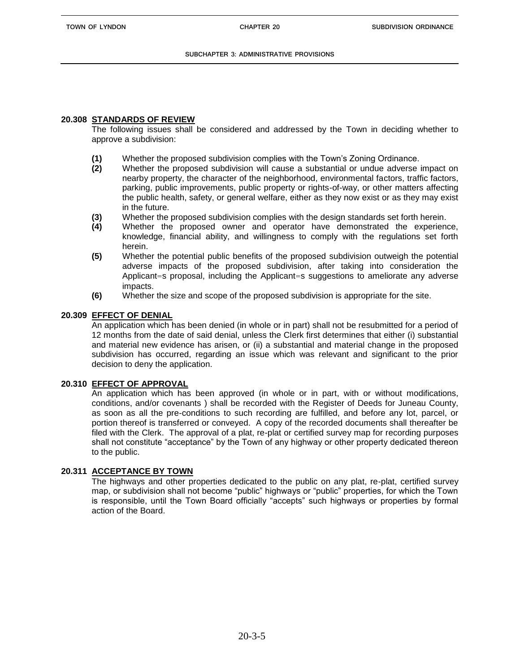# **20.308 STANDARDS OF REVIEW**

The following issues shall be considered and addressed by the Town in deciding whether to approve a subdivision:

- **(1)** Whether the proposed subdivision complies with the Town's Zoning Ordinance.
- **(2)** Whether the proposed subdivision will cause a substantial or undue adverse impact on nearby property, the character of the neighborhood, environmental factors, traffic factors, parking, public improvements, public property or rights-of-way, or other matters affecting the public health, safety, or general welfare, either as they now exist or as they may exist in the future.
- **(3)** Whether the proposed subdivision complies with the design standards set forth herein.
- **(4)** Whether the proposed owner and operator have demonstrated the experience, knowledge, financial ability, and willingness to comply with the regulations set forth herein.
- **(5)** Whether the potential public benefits of the proposed subdivision outweigh the potential adverse impacts of the proposed subdivision, after taking into consideration the Applicant=s proposal, including the Applicant=s suggestions to ameliorate any adverse impacts.
- **(6)** Whether the size and scope of the proposed subdivision is appropriate for the site.

## **20.309 EFFECT OF DENIAL**

An application which has been denied (in whole or in part) shall not be resubmitted for a period of 12 months from the date of said denial, unless the Clerk first determines that either (i) substantial and material new evidence has arisen, or (ii) a substantial and material change in the proposed subdivision has occurred, regarding an issue which was relevant and significant to the prior decision to deny the application.

## **20.310 EFFECT OF APPROVAL**

An application which has been approved (in whole or in part, with or without modifications, conditions, and/or covenants ) shall be recorded with the Register of Deeds for Juneau County, as soon as all the pre-conditions to such recording are fulfilled, and before any lot, parcel, or portion thereof is transferred or conveyed. A copy of the recorded documents shall thereafter be filed with the Clerk. The approval of a plat, re-plat or certified survey map for recording purposes shall not constitute "acceptance" by the Town of any highway or other property dedicated thereon to the public.

# **20.311 ACCEPTANCE BY TOWN**

The highways and other properties dedicated to the public on any plat, re-plat, certified survey map, or subdivision shall not become "public" highways or "public" properties, for which the Town is responsible, until the Town Board officially "accepts" such highways or properties by formal action of the Board.